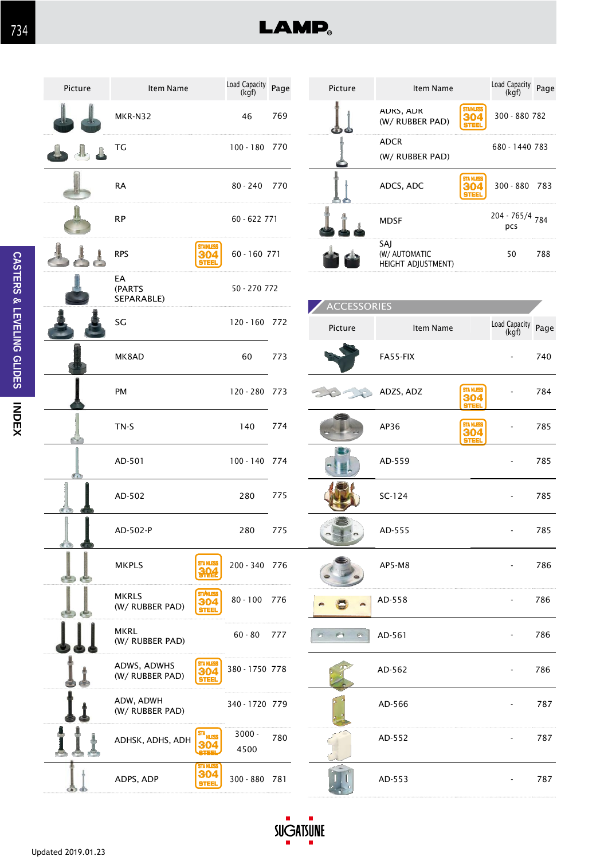

**LAMP**